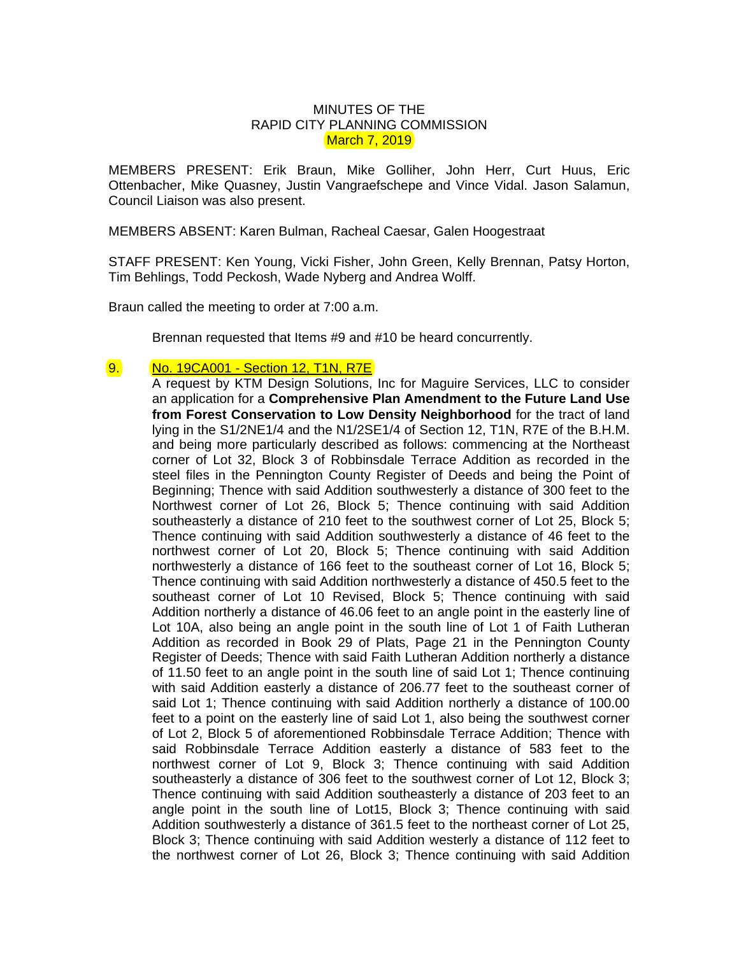## MINUTES OF THE RAPID CITY PLANNING COMMISSION March 7, 2019

MEMBERS PRESENT: Erik Braun, Mike Golliher, John Herr, Curt Huus, Eric Ottenbacher, Mike Quasney, Justin Vangraefschepe and Vince Vidal. Jason Salamun, Council Liaison was also present.

MEMBERS ABSENT: Karen Bulman, Racheal Caesar, Galen Hoogestraat

STAFF PRESENT: Ken Young, Vicki Fisher, John Green, Kelly Brennan, Patsy Horton, Tim Behlings, Todd Peckosh, Wade Nyberg and Andrea Wolff.

Braun called the meeting to order at 7:00 a.m.

Brennan requested that Items #9 and #10 be heard concurrently.

9. No. 19CA001 - Section 12, T1N, R7E

A request by KTM Design Solutions, Inc for Maguire Services, LLC to consider an application for a **Comprehensive Plan Amendment to the Future Land Use from Forest Conservation to Low Density Neighborhood** for the tract of land lying in the S1/2NE1/4 and the N1/2SE1/4 of Section 12, T1N, R7E of the B.H.M. and being more particularly described as follows: commencing at the Northeast corner of Lot 32, Block 3 of Robbinsdale Terrace Addition as recorded in the steel files in the Pennington County Register of Deeds and being the Point of Beginning; Thence with said Addition southwesterly a distance of 300 feet to the Northwest corner of Lot 26, Block 5; Thence continuing with said Addition southeasterly a distance of 210 feet to the southwest corner of Lot 25, Block 5; Thence continuing with said Addition southwesterly a distance of 46 feet to the northwest corner of Lot 20, Block 5; Thence continuing with said Addition northwesterly a distance of 166 feet to the southeast corner of Lot 16, Block 5; Thence continuing with said Addition northwesterly a distance of 450.5 feet to the southeast corner of Lot 10 Revised, Block 5; Thence continuing with said Addition northerly a distance of 46.06 feet to an angle point in the easterly line of Lot 10A, also being an angle point in the south line of Lot 1 of Faith Lutheran Addition as recorded in Book 29 of Plats, Page 21 in the Pennington County Register of Deeds; Thence with said Faith Lutheran Addition northerly a distance of 11.50 feet to an angle point in the south line of said Lot 1; Thence continuing with said Addition easterly a distance of 206.77 feet to the southeast corner of said Lot 1; Thence continuing with said Addition northerly a distance of 100.00 feet to a point on the easterly line of said Lot 1, also being the southwest corner of Lot 2, Block 5 of aforementioned Robbinsdale Terrace Addition; Thence with said Robbinsdale Terrace Addition easterly a distance of 583 feet to the northwest corner of Lot 9, Block 3; Thence continuing with said Addition southeasterly a distance of 306 feet to the southwest corner of Lot 12, Block 3; Thence continuing with said Addition southeasterly a distance of 203 feet to an angle point in the south line of Lot15, Block 3; Thence continuing with said Addition southwesterly a distance of 361.5 feet to the northeast corner of Lot 25, Block 3; Thence continuing with said Addition westerly a distance of 112 feet to the northwest corner of Lot 26, Block 3; Thence continuing with said Addition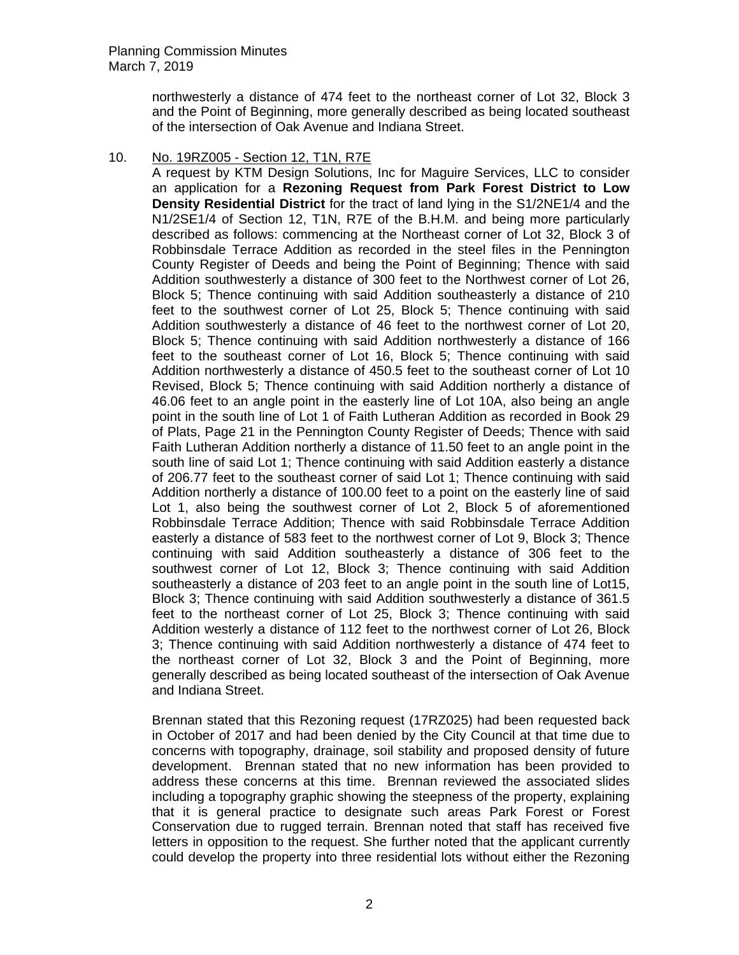northwesterly a distance of 474 feet to the northeast corner of Lot 32, Block 3 and the Point of Beginning, more generally described as being located southeast of the intersection of Oak Avenue and Indiana Street.

## 10. No. 19RZ005 - Section 12, T1N, R7E

A request by KTM Design Solutions, Inc for Maguire Services, LLC to consider an application for a **Rezoning Request from Park Forest District to Low Density Residential District** for the tract of land lying in the S1/2NE1/4 and the N1/2SE1/4 of Section 12, T1N, R7E of the B.H.M. and being more particularly described as follows: commencing at the Northeast corner of Lot 32, Block 3 of Robbinsdale Terrace Addition as recorded in the steel files in the Pennington County Register of Deeds and being the Point of Beginning; Thence with said Addition southwesterly a distance of 300 feet to the Northwest corner of Lot 26, Block 5; Thence continuing with said Addition southeasterly a distance of 210 feet to the southwest corner of Lot 25, Block 5; Thence continuing with said Addition southwesterly a distance of 46 feet to the northwest corner of Lot 20, Block 5; Thence continuing with said Addition northwesterly a distance of 166 feet to the southeast corner of Lot 16, Block 5; Thence continuing with said Addition northwesterly a distance of 450.5 feet to the southeast corner of Lot 10 Revised, Block 5; Thence continuing with said Addition northerly a distance of 46.06 feet to an angle point in the easterly line of Lot 10A, also being an angle point in the south line of Lot 1 of Faith Lutheran Addition as recorded in Book 29 of Plats, Page 21 in the Pennington County Register of Deeds; Thence with said Faith Lutheran Addition northerly a distance of 11.50 feet to an angle point in the south line of said Lot 1; Thence continuing with said Addition easterly a distance of 206.77 feet to the southeast corner of said Lot 1; Thence continuing with said Addition northerly a distance of 100.00 feet to a point on the easterly line of said Lot 1, also being the southwest corner of Lot 2, Block 5 of aforementioned Robbinsdale Terrace Addition; Thence with said Robbinsdale Terrace Addition easterly a distance of 583 feet to the northwest corner of Lot 9, Block 3; Thence continuing with said Addition southeasterly a distance of 306 feet to the southwest corner of Lot 12, Block 3; Thence continuing with said Addition southeasterly a distance of 203 feet to an angle point in the south line of Lot15, Block 3; Thence continuing with said Addition southwesterly a distance of 361.5 feet to the northeast corner of Lot 25, Block 3; Thence continuing with said Addition westerly a distance of 112 feet to the northwest corner of Lot 26, Block 3; Thence continuing with said Addition northwesterly a distance of 474 feet to the northeast corner of Lot 32, Block 3 and the Point of Beginning, more generally described as being located southeast of the intersection of Oak Avenue and Indiana Street.

Brennan stated that this Rezoning request (17RZ025) had been requested back in October of 2017 and had been denied by the City Council at that time due to concerns with topography, drainage, soil stability and proposed density of future development. Brennan stated that no new information has been provided to address these concerns at this time. Brennan reviewed the associated slides including a topography graphic showing the steepness of the property, explaining that it is general practice to designate such areas Park Forest or Forest Conservation due to rugged terrain. Brennan noted that staff has received five letters in opposition to the request. She further noted that the applicant currently could develop the property into three residential lots without either the Rezoning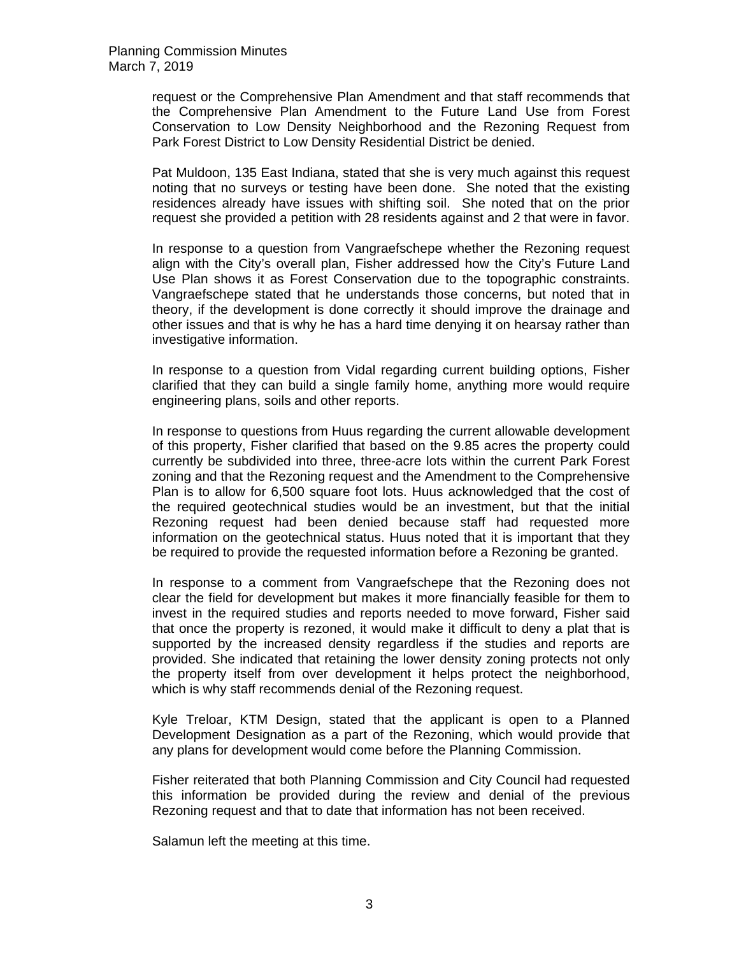request or the Comprehensive Plan Amendment and that staff recommends that the Comprehensive Plan Amendment to the Future Land Use from Forest Conservation to Low Density Neighborhood and the Rezoning Request from Park Forest District to Low Density Residential District be denied.

Pat Muldoon, 135 East Indiana, stated that she is very much against this request noting that no surveys or testing have been done. She noted that the existing residences already have issues with shifting soil. She noted that on the prior request she provided a petition with 28 residents against and 2 that were in favor.

In response to a question from Vangraefschepe whether the Rezoning request align with the City's overall plan, Fisher addressed how the City's Future Land Use Plan shows it as Forest Conservation due to the topographic constraints. Vangraefschepe stated that he understands those concerns, but noted that in theory, if the development is done correctly it should improve the drainage and other issues and that is why he has a hard time denying it on hearsay rather than investigative information.

In response to a question from Vidal regarding current building options, Fisher clarified that they can build a single family home, anything more would require engineering plans, soils and other reports.

In response to questions from Huus regarding the current allowable development of this property, Fisher clarified that based on the 9.85 acres the property could currently be subdivided into three, three-acre lots within the current Park Forest zoning and that the Rezoning request and the Amendment to the Comprehensive Plan is to allow for 6,500 square foot lots. Huus acknowledged that the cost of the required geotechnical studies would be an investment, but that the initial Rezoning request had been denied because staff had requested more information on the geotechnical status. Huus noted that it is important that they be required to provide the requested information before a Rezoning be granted.

In response to a comment from Vangraefschepe that the Rezoning does not clear the field for development but makes it more financially feasible for them to invest in the required studies and reports needed to move forward, Fisher said that once the property is rezoned, it would make it difficult to deny a plat that is supported by the increased density regardless if the studies and reports are provided. She indicated that retaining the lower density zoning protects not only the property itself from over development it helps protect the neighborhood, which is why staff recommends denial of the Rezoning request.

Kyle Treloar, KTM Design, stated that the applicant is open to a Planned Development Designation as a part of the Rezoning, which would provide that any plans for development would come before the Planning Commission.

Fisher reiterated that both Planning Commission and City Council had requested this information be provided during the review and denial of the previous Rezoning request and that to date that information has not been received.

Salamun left the meeting at this time.